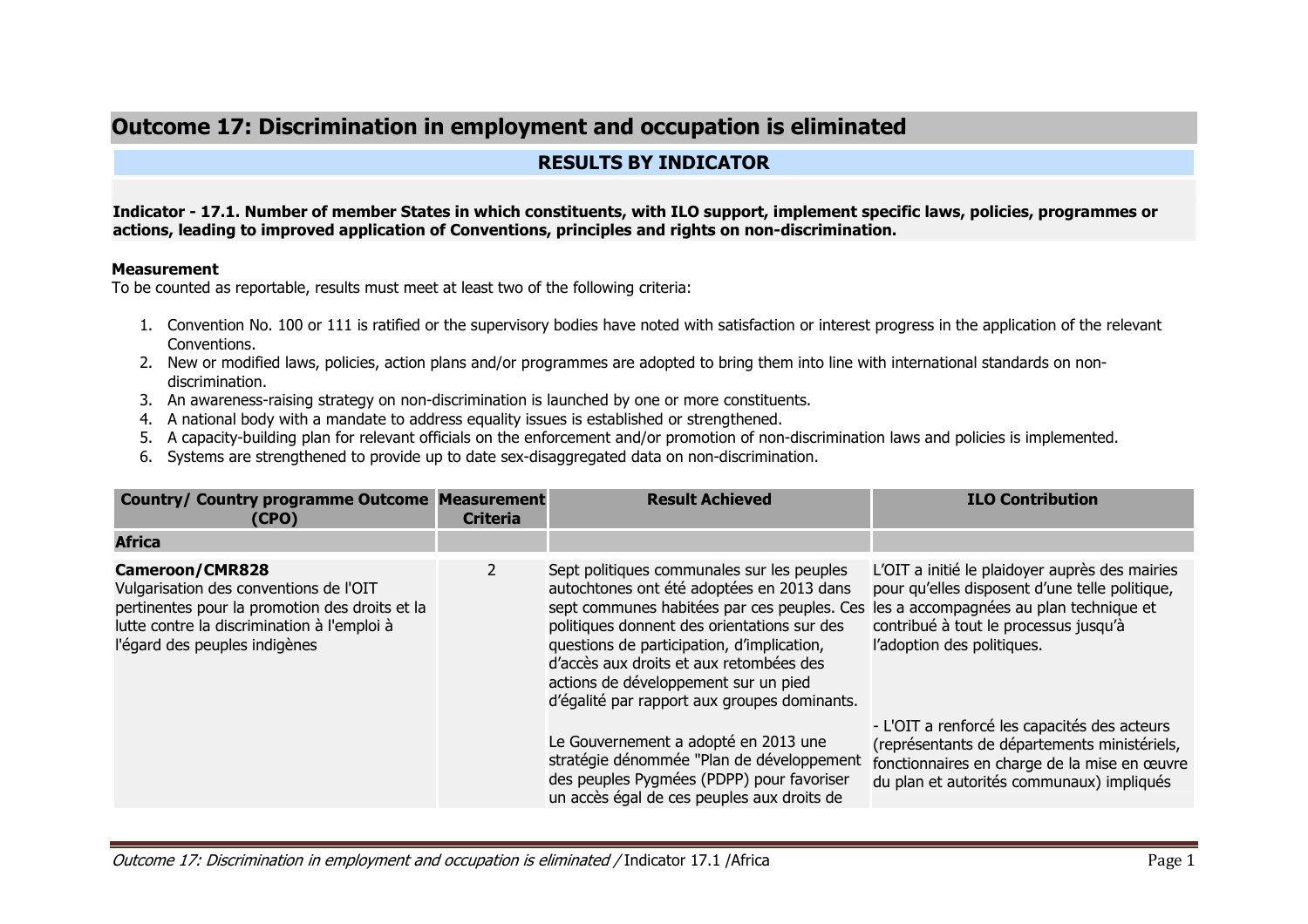# **Outcome 17: Discrimination in employment and occupation is eliminated**

# **RESULTS BY INDICATOR**

#### **Indicator - 17.1. Number of member States in which constituents, with ILO support, implement specific laws, policies, programmes or actions, leading to improved application of Conventions, principles and rights on non-discrimination.**

#### **Measurement**

To be counted as reportable, results must meet at least two of the following criteria:

- 1. Convention No. 100 or 111 is ratified or the supervisory bodies have noted with satisfaction or interest progress in the application of the relevant Conventions.
- 2. New or modified laws, policies, action plans and/or programmes are adopted to bring them into line with international standards on nondiscrimination.
- 3. An awareness-raising strategy on non-discrimination is launched by one or more constituents.
- 4. A national body with a mandate to address equality issues is established or strengthened.
- 5. A capacity-building plan for relevant officials on the enforcement and/or promotion of non-discrimination laws and policies is implemented.
- 6. Systems are strengthened to provide up to date sex-disaggregated data on non-discrimination.

| <b>Country/ Country programme Outcome Measurement</b><br>(CPO)                                                                                                                                     | <b>Criteria</b> | <b>Result Achieved</b>                                                                                                                                                                                                                                                                                                                                                                                         | <b>ILO Contribution</b>                                                                                                                                                                   |
|----------------------------------------------------------------------------------------------------------------------------------------------------------------------------------------------------|-----------------|----------------------------------------------------------------------------------------------------------------------------------------------------------------------------------------------------------------------------------------------------------------------------------------------------------------------------------------------------------------------------------------------------------------|-------------------------------------------------------------------------------------------------------------------------------------------------------------------------------------------|
| <b>Africa</b>                                                                                                                                                                                      |                 |                                                                                                                                                                                                                                                                                                                                                                                                                |                                                                                                                                                                                           |
| <b>Cameroon/CMR828</b><br>Vulgarisation des conventions de l'OIT<br>pertinentes pour la promotion des droits et la<br>lutte contre la discrimination à l'emploi à<br>l'égard des peuples indigènes | 2               | Sept politiques communales sur les peuples<br>autochtones ont été adoptées en 2013 dans<br>sept communes habitées par ces peuples. Ces les a accompagnées au plan technique et<br>politiques donnent des orientations sur des<br>questions de participation, d'implication,<br>d'accès aux droits et aux retombées des<br>actions de développement sur un pied<br>d'égalité par rapport aux groupes dominants. | L'OIT a initié le plaidoyer auprès des mairies<br>pour qu'elles disposent d'une telle politique,<br>contribué à tout le processus jusqu'à<br>l'adoption des politiques.                   |
|                                                                                                                                                                                                    |                 | Le Gouvernement a adopté en 2013 une<br>stratégie dénommée "Plan de développement<br>des peuples Pygmées (PDPP) pour favoriser<br>un accès égal de ces peuples aux droits de                                                                                                                                                                                                                                   | - L'OIT a renforcé les capacités des acteurs<br>(représentants de départements ministériels,<br>fonctionnaires en charge de la mise en œuvre<br>du plan et autorités communaux) impliqués |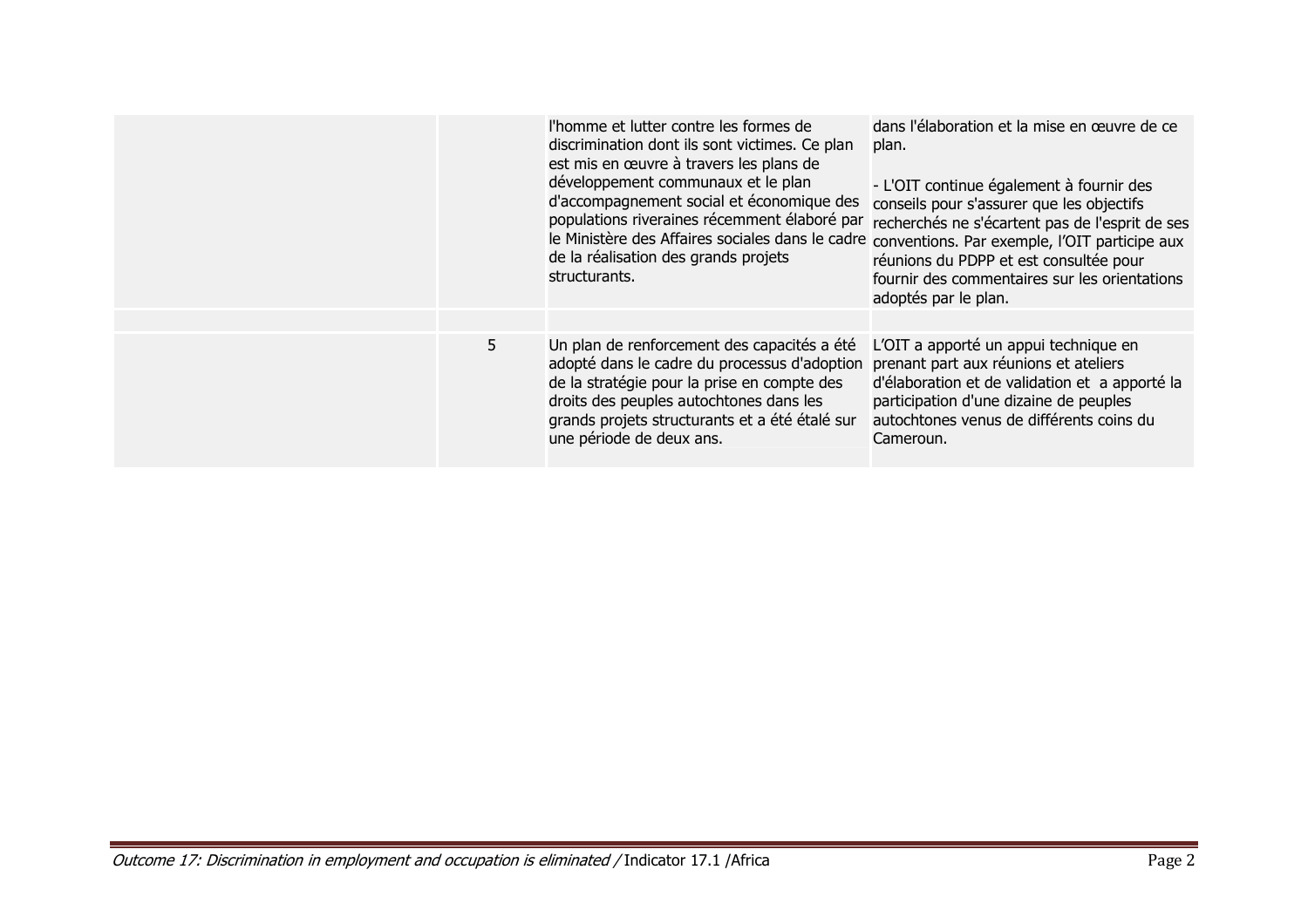|   | l'homme et lutter contre les formes de<br>discrimination dont ils sont victimes. Ce plan<br>est mis en œuvre à travers les plans de<br>développement communaux et le plan<br>d'accompagnement social et économique des<br>le Ministère des Affaires sociales dans le cadre conventions. Par exemple, l'OIT participe aux<br>de la réalisation des grands projets<br>structurants. | dans l'élaboration et la mise en œuvre de ce<br>plan.<br>- L'OIT continue également à fournir des<br>conseils pour s'assurer que les objectifs<br>populations riveraines récemment élaboré par recherchés ne s'écartent pas de l'esprit de ses<br>réunions du PDPP et est consultée pour<br>fournir des commentaires sur les orientations<br>adoptés par le plan. |
|---|-----------------------------------------------------------------------------------------------------------------------------------------------------------------------------------------------------------------------------------------------------------------------------------------------------------------------------------------------------------------------------------|-------------------------------------------------------------------------------------------------------------------------------------------------------------------------------------------------------------------------------------------------------------------------------------------------------------------------------------------------------------------|
|   |                                                                                                                                                                                                                                                                                                                                                                                   |                                                                                                                                                                                                                                                                                                                                                                   |
| 5 | Un plan de renforcement des capacités a été<br>adopté dans le cadre du processus d'adoption prenant part aux réunions et ateliers<br>de la stratégie pour la prise en compte des<br>droits des peuples autochtones dans les<br>grands projets structurants et a été étalé sur<br>une période de deux ans.                                                                         | L'OIT a apporté un appui technique en<br>d'élaboration et de validation et a apporté la<br>participation d'une dizaine de peuples<br>autochtones venus de différents coins du<br>Cameroun.                                                                                                                                                                        |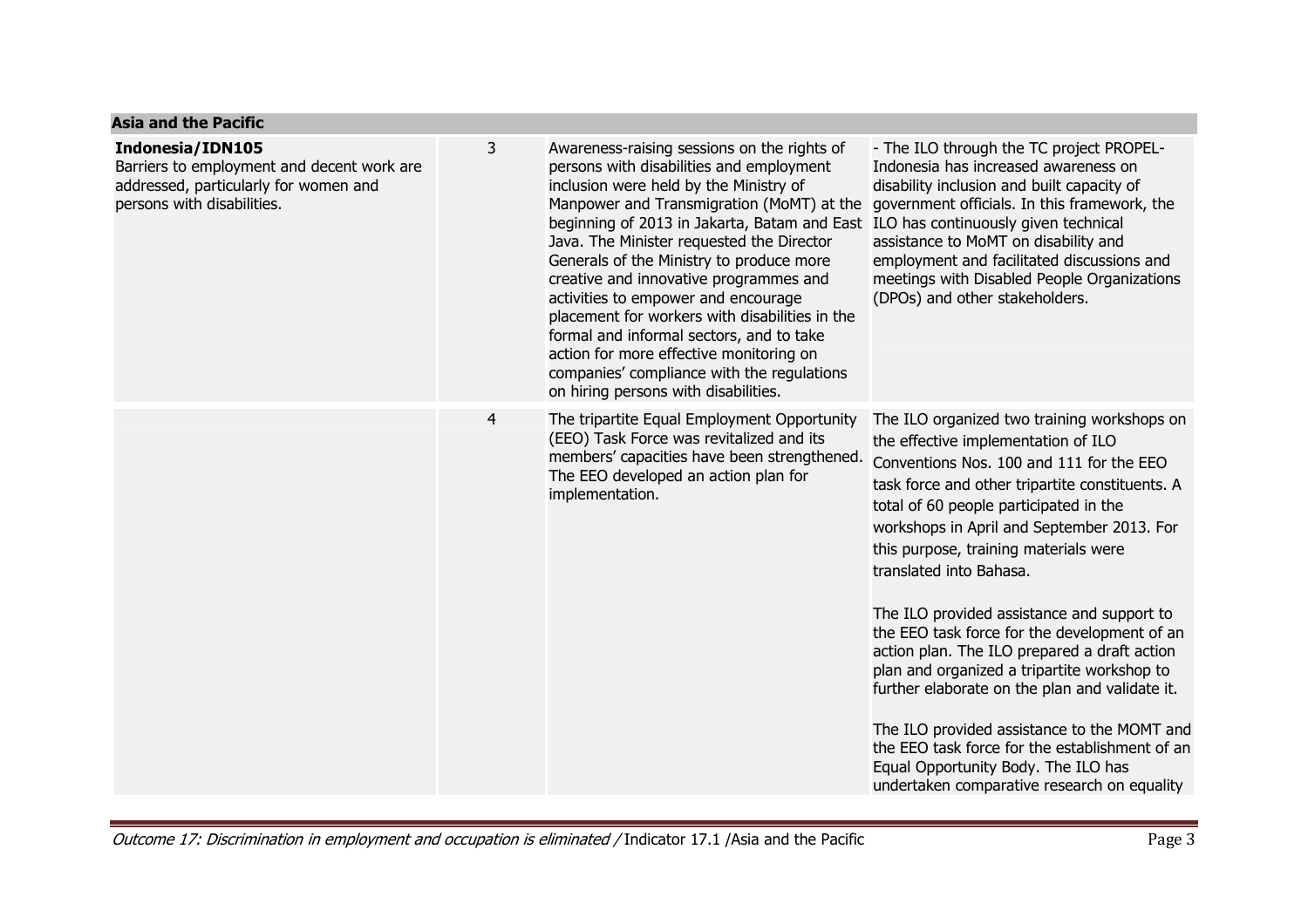#### **Asia and the Pacific**

#### **Indonesia/IDN105**

 Barriers to employment and decent work are addressed, particularly for women an persons with disabilities.

| work are<br>nd | 3              | Awareness-raising sessions on the rights of<br>persons with disabilities and employment<br>inclusion were held by the Ministry of<br>Manpower and Transmigration (MoMT) at the<br>beginning of 2013 in Jakarta, Batam and East<br>Java. The Minister requested the Director<br>Generals of the Ministry to produce more<br>creative and innovative programmes and<br>activities to empower and encourage<br>placement for workers with disabilities in the<br>formal and informal sectors, and to take<br>action for more effective monitoring on<br>companies' compliance with the regulations<br>on hiring persons with disabilities. | - The ILO through the TC project PROPEL-<br>Indonesia has increased awareness on<br>disability inclusion and built capacity of<br>government officials. In this framework, the<br>ILO has continuously given technical<br>assistance to MoMT on disability and<br>employment and facilitated discussions and<br>meetings with Disabled People Organizations<br>(DPOs) and other stakeholders.                                                                                                                                                                                                                                                                                                                                                                                       |
|----------------|----------------|-----------------------------------------------------------------------------------------------------------------------------------------------------------------------------------------------------------------------------------------------------------------------------------------------------------------------------------------------------------------------------------------------------------------------------------------------------------------------------------------------------------------------------------------------------------------------------------------------------------------------------------------|-------------------------------------------------------------------------------------------------------------------------------------------------------------------------------------------------------------------------------------------------------------------------------------------------------------------------------------------------------------------------------------------------------------------------------------------------------------------------------------------------------------------------------------------------------------------------------------------------------------------------------------------------------------------------------------------------------------------------------------------------------------------------------------|
|                | $\overline{4}$ | The tripartite Equal Employment Opportunity<br>(EEO) Task Force was revitalized and its<br>members' capacities have been strengthened.<br>The EEO developed an action plan for<br>implementation.                                                                                                                                                                                                                                                                                                                                                                                                                                       | The ILO organized two training workshops on<br>the effective implementation of ILO<br>Conventions Nos. 100 and 111 for the EEO<br>task force and other tripartite constituents. A<br>total of 60 people participated in the<br>workshops in April and September 2013. For<br>this purpose, training materials were<br>translated into Bahasa.<br>The ILO provided assistance and support to<br>the EEO task force for the development of an<br>action plan. The ILO prepared a draft action<br>plan and organized a tripartite workshop to<br>further elaborate on the plan and validate it.<br>The ILO provided assistance to the MOMT and<br>the EEO task force for the establishment of an<br>Equal Opportunity Body. The ILO has<br>undertaken comparative research on equality |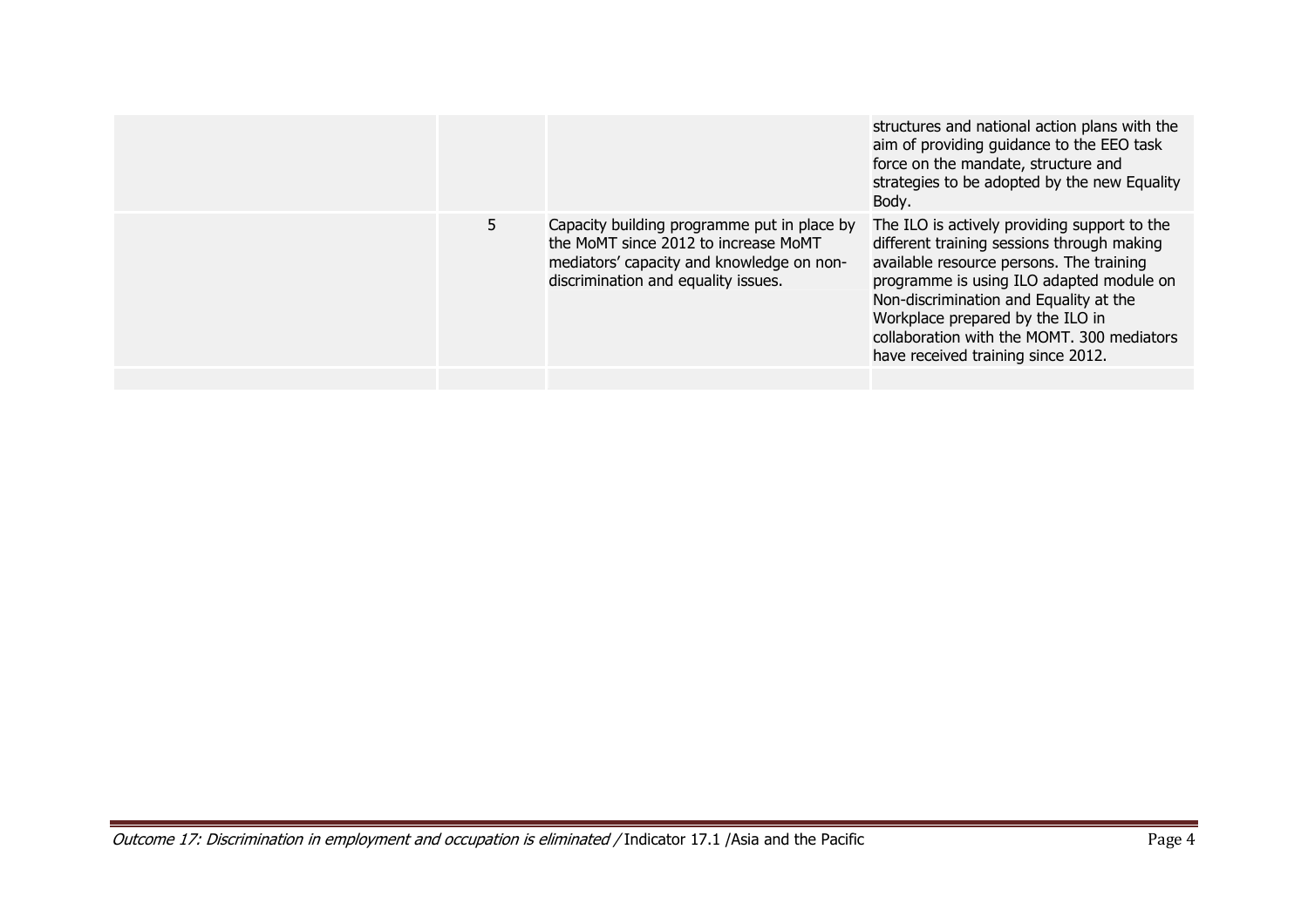|    |                                                                                                                                                                         | structures and national action plans with the<br>aim of providing guidance to the EEO task<br>force on the mandate, structure and<br>strategies to be adopted by the new Equality<br>Body.                                                                                                                                                           |
|----|-------------------------------------------------------------------------------------------------------------------------------------------------------------------------|------------------------------------------------------------------------------------------------------------------------------------------------------------------------------------------------------------------------------------------------------------------------------------------------------------------------------------------------------|
| 5. | Capacity building programme put in place by<br>the MoMT since 2012 to increase MoMT<br>mediators' capacity and knowledge on non-<br>discrimination and equality issues. | The ILO is actively providing support to the<br>different training sessions through making<br>available resource persons. The training<br>programme is using ILO adapted module on<br>Non-discrimination and Equality at the<br>Workplace prepared by the ILO in<br>collaboration with the MOMT, 300 mediators<br>have received training since 2012. |
|    |                                                                                                                                                                         |                                                                                                                                                                                                                                                                                                                                                      |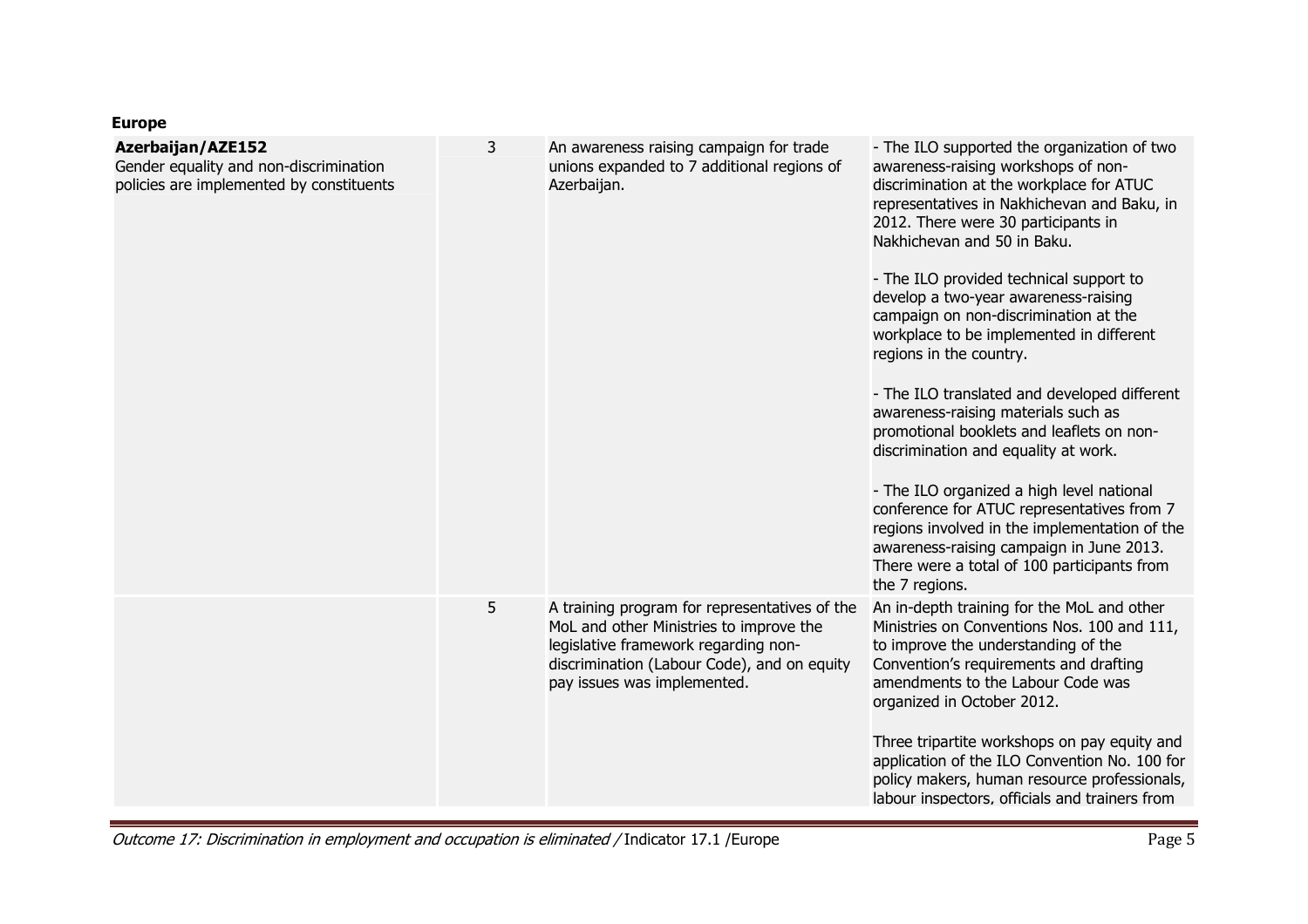## **Europe**

| <b>Azerbaijan/AZE152</b><br>Gender equality and non-discrimination<br>policies are implemented by constituents | 3 | An awareness raising campaign for trade<br>unions expanded to 7 additional regions of<br>Azerbaijan.                                                                                                           | - The ILO supported the organization of two<br>awareness-raising workshops of non-<br>discrimination at the workplace for ATUC<br>representatives in Nakhichevan and Baku, in<br>2012. There were 30 participants in<br>Nakhichevan and 50 in Baku.<br>- The ILO provided technical support to<br>develop a two-year awareness-raising<br>campaign on non-discrimination at the<br>workplace to be implemented in different<br>regions in the country.<br>- The ILO translated and developed different<br>awareness-raising materials such as<br>promotional booklets and leaflets on non-<br>discrimination and equality at work.<br>- The ILO organized a high level national<br>conference for ATUC representatives from 7<br>regions involved in the implementation of the<br>awareness-raising campaign in June 2013. |
|----------------------------------------------------------------------------------------------------------------|---|----------------------------------------------------------------------------------------------------------------------------------------------------------------------------------------------------------------|----------------------------------------------------------------------------------------------------------------------------------------------------------------------------------------------------------------------------------------------------------------------------------------------------------------------------------------------------------------------------------------------------------------------------------------------------------------------------------------------------------------------------------------------------------------------------------------------------------------------------------------------------------------------------------------------------------------------------------------------------------------------------------------------------------------------------|
|                                                                                                                |   |                                                                                                                                                                                                                | There were a total of 100 participants from<br>the 7 regions.                                                                                                                                                                                                                                                                                                                                                                                                                                                                                                                                                                                                                                                                                                                                                              |
|                                                                                                                | 5 | A training program for representatives of the<br>MoL and other Ministries to improve the<br>legislative framework regarding non-<br>discrimination (Labour Code), and on equity<br>pay issues was implemented. | An in-depth training for the MoL and other<br>Ministries on Conventions Nos. 100 and 111,<br>to improve the understanding of the<br>Convention's requirements and drafting<br>amendments to the Labour Code was<br>organized in October 2012.<br>Three tripartite workshops on pay equity and                                                                                                                                                                                                                                                                                                                                                                                                                                                                                                                              |
|                                                                                                                |   |                                                                                                                                                                                                                | application of the ILO Convention No. 100 for<br>policy makers, human resource professionals,<br>labour inspectors, officials and trainers from                                                                                                                                                                                                                                                                                                                                                                                                                                                                                                                                                                                                                                                                            |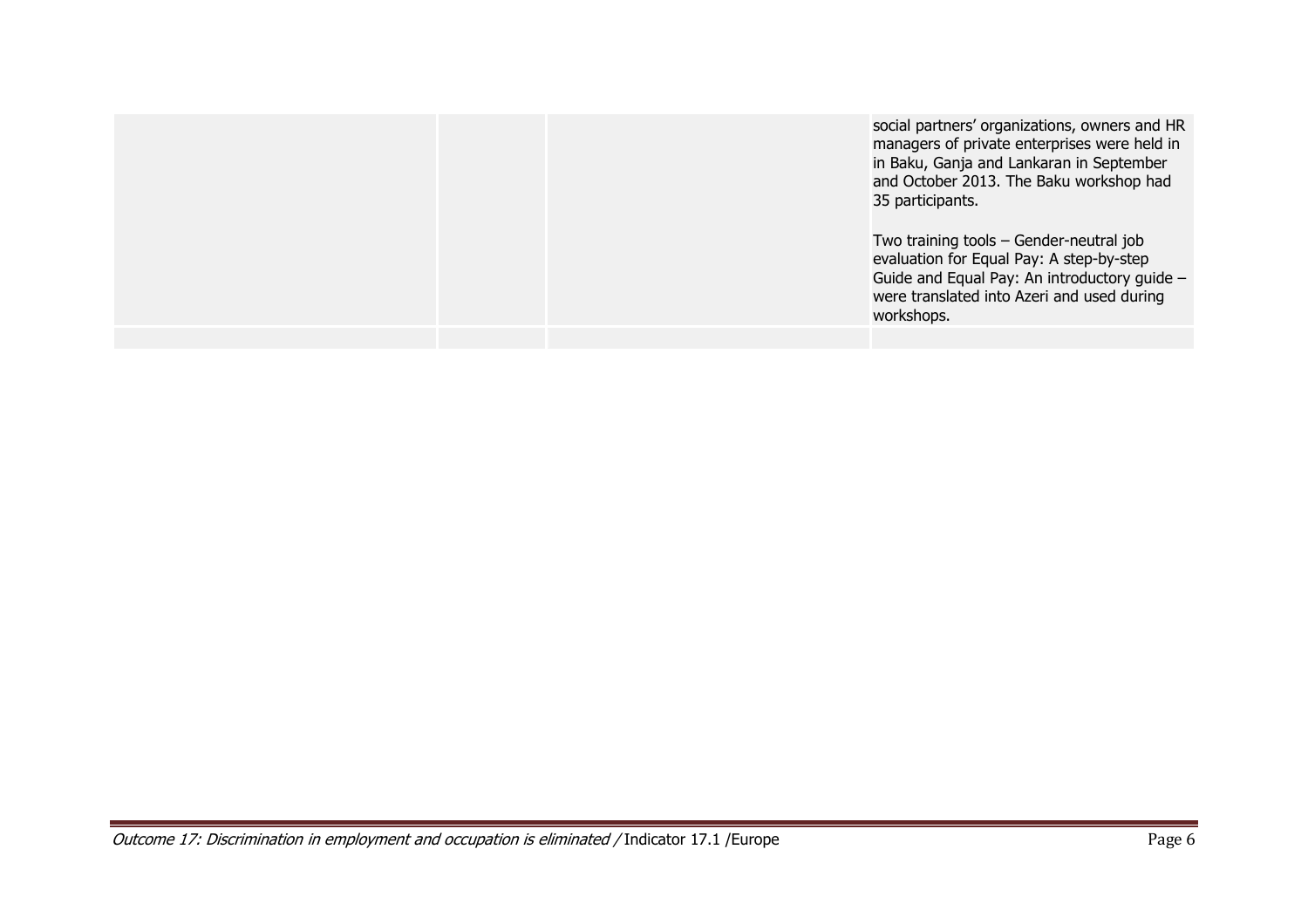|  | social partners' organizations, owners and HR<br>managers of private enterprises were held in<br>in Baku, Ganja and Lankaran in September<br>and October 2013. The Baku workshop had<br>35 participants. |
|--|----------------------------------------------------------------------------------------------------------------------------------------------------------------------------------------------------------|
|  | Two training tools - Gender-neutral job<br>evaluation for Equal Pay: A step-by-step<br>Guide and Equal Pay: An introductory guide -<br>were translated into Azeri and used during<br>workshops.          |
|  |                                                                                                                                                                                                          |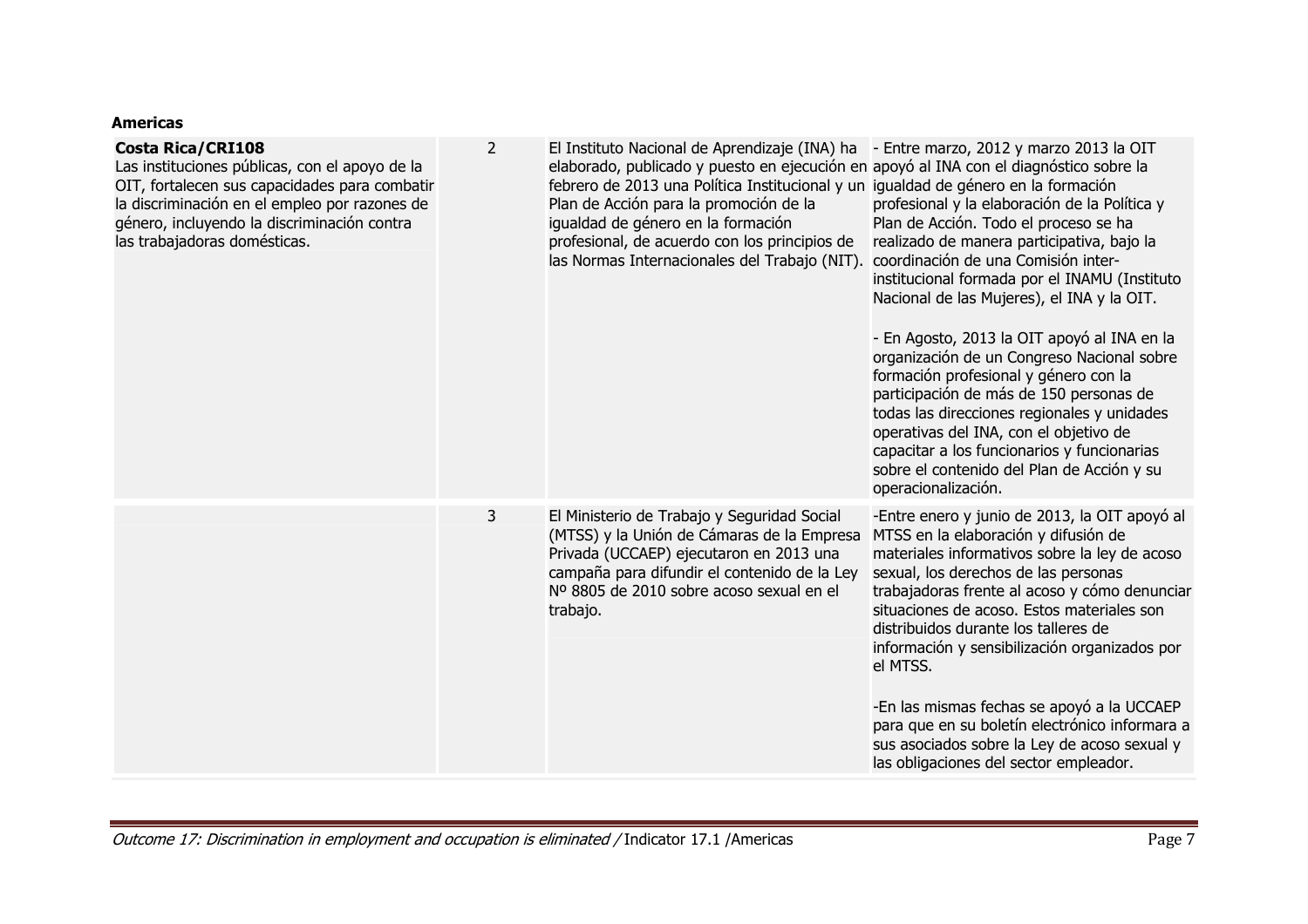### **Americas**

| <b>Costa Rica/CRI108</b><br>Las instituciones públicas, con el apoyo de la<br>OIT, fortalecen sus capacidades para combatir<br>la discriminación en el empleo por razones de<br>género, incluyendo la discriminación contra<br>las trabajadoras domésticas. | $\overline{2}$ | El Instituto Nacional de Aprendizaje (INA) ha<br>elaborado, publicado y puesto en ejecución en apoyó al INA con el diagnóstico sobre la<br>febrero de 2013 una Política Institucional y un igualdad de género en la formación<br>Plan de Acción para la promoción de la<br>igualdad de género en la formación<br>profesional, de acuerdo con los principios de<br>las Normas Internacionales del Trabajo (NIT). | - Entre marzo, 2012 y marzo 2013 la OIT<br>profesional y la elaboración de la Política y<br>Plan de Acción. Todo el proceso se ha<br>realizado de manera participativa, bajo la<br>coordinación de una Comisión inter-<br>institucional formada por el INAMU (Instituto<br>Nacional de las Mujeres), el INA y la OIT.<br>- En Agosto, 2013 la OIT apoyó al INA en la<br>organización de un Congreso Nacional sobre<br>formación profesional y género con la<br>participación de más de 150 personas de<br>todas las direcciones regionales y unidades<br>operativas del INA, con el objetivo de<br>capacitar a los funcionarios y funcionarias<br>sobre el contenido del Plan de Acción y su<br>operacionalización. |
|-------------------------------------------------------------------------------------------------------------------------------------------------------------------------------------------------------------------------------------------------------------|----------------|-----------------------------------------------------------------------------------------------------------------------------------------------------------------------------------------------------------------------------------------------------------------------------------------------------------------------------------------------------------------------------------------------------------------|---------------------------------------------------------------------------------------------------------------------------------------------------------------------------------------------------------------------------------------------------------------------------------------------------------------------------------------------------------------------------------------------------------------------------------------------------------------------------------------------------------------------------------------------------------------------------------------------------------------------------------------------------------------------------------------------------------------------|
|                                                                                                                                                                                                                                                             | 3              | El Ministerio de Trabajo y Seguridad Social<br>(MTSS) y la Unión de Cámaras de la Empresa<br>Privada (UCCAEP) ejecutaron en 2013 una<br>campaña para difundir el contenido de la Ley<br>Nº 8805 de 2010 sobre acoso sexual en el<br>trabajo.                                                                                                                                                                    | -Entre enero y junio de 2013, la OIT apoyó al<br>MTSS en la elaboración y difusión de<br>materiales informativos sobre la ley de acoso<br>sexual, los derechos de las personas<br>trabajadoras frente al acoso y cómo denunciar<br>situaciones de acoso. Estos materiales son<br>distribuidos durante los talleres de<br>información y sensibilización organizados por<br>el MTSS.<br>-En las mismas fechas se apoyó a la UCCAEP<br>para que en su boletín electrónico informara a<br>sus asociados sobre la Ley de acoso sexual y<br>las obligaciones del sector empleador.                                                                                                                                        |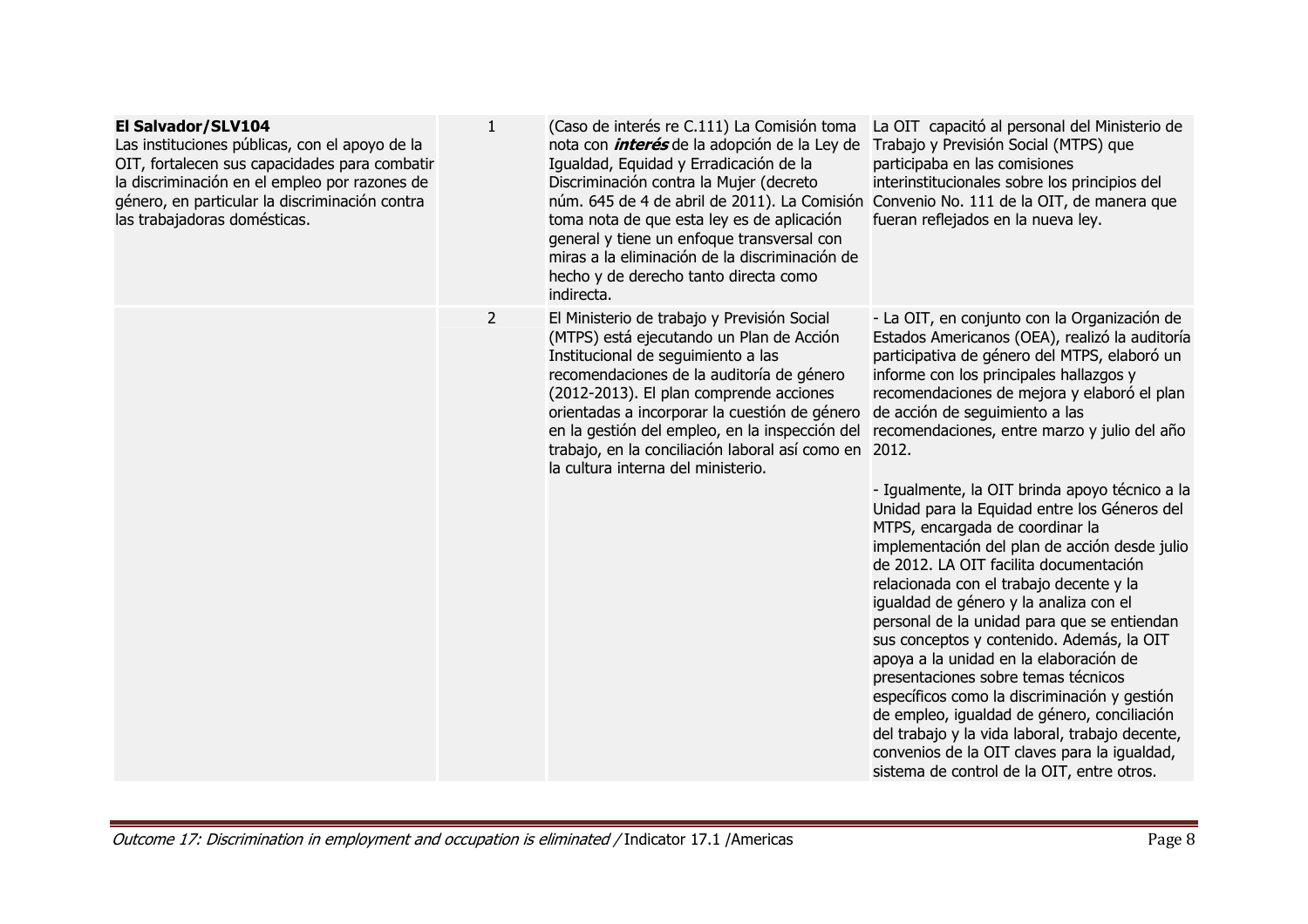| El Salvador/SLV104<br>Las instituciones públicas, con el apoyo de la<br>OIT, fortalecen sus capacidades para combatir<br>la discriminación en el empleo por razones de<br>género, en particular la discriminación contra<br>las trabajadoras domésticas. | $\mathbf{1}$   | (Caso de interés re C.111) La Comisión toma<br>nota con <i>interés</i> de la adopción de la Ley de<br>Igualdad, Equidad y Erradicación de la<br>Discriminación contra la Mujer (decreto<br>núm. 645 de 4 de abril de 2011). La Comisión<br>toma nota de que esta ley es de aplicación<br>general y tiene un enfoque transversal con<br>miras a la eliminación de la discriminación de<br>hecho y de derecho tanto directa como<br>indirecta. | La OIT capacitó al personal del Ministerio de<br>Trabajo y Previsión Social (MTPS) que<br>participaba en las comisiones<br>interinstitucionales sobre los principios del<br>Convenio No. 111 de la OIT, de manera que<br>fueran reflejados en la nueva ley.                                                                                                                                                                                                                                                                                                                                                                                                                                                                                                                                                                                                                                                                                                                                                                                                                           |
|----------------------------------------------------------------------------------------------------------------------------------------------------------------------------------------------------------------------------------------------------------|----------------|----------------------------------------------------------------------------------------------------------------------------------------------------------------------------------------------------------------------------------------------------------------------------------------------------------------------------------------------------------------------------------------------------------------------------------------------|---------------------------------------------------------------------------------------------------------------------------------------------------------------------------------------------------------------------------------------------------------------------------------------------------------------------------------------------------------------------------------------------------------------------------------------------------------------------------------------------------------------------------------------------------------------------------------------------------------------------------------------------------------------------------------------------------------------------------------------------------------------------------------------------------------------------------------------------------------------------------------------------------------------------------------------------------------------------------------------------------------------------------------------------------------------------------------------|
|                                                                                                                                                                                                                                                          | $\overline{2}$ | El Ministerio de trabajo y Previsión Social<br>(MTPS) está ejecutando un Plan de Acción<br>Institucional de seguimiento a las<br>recomendaciones de la auditoría de género<br>(2012-2013). El plan comprende acciones<br>orientadas a incorporar la cuestión de género<br>en la gestión del empleo, en la inspección del<br>trabajo, en la conciliación laboral así como en<br>la cultura interna del ministerio.                            | - La OIT, en conjunto con la Organización de<br>Estados Americanos (OEA), realizó la auditoría<br>participativa de género del MTPS, elaboró un<br>informe con los principales hallazgos y<br>recomendaciones de mejora y elaboró el plan<br>de acción de seguimiento a las<br>recomendaciones, entre marzo y julio del año<br>2012.<br>- Igualmente, la OIT brinda apoyo técnico a la<br>Unidad para la Equidad entre los Géneros del<br>MTPS, encargada de coordinar la<br>implementación del plan de acción desde julio<br>de 2012. LA OIT facilita documentación<br>relacionada con el trabajo decente y la<br>igualdad de género y la analiza con el<br>personal de la unidad para que se entiendan<br>sus conceptos y contenido. Además, la OIT<br>apoya a la unidad en la elaboración de<br>presentaciones sobre temas técnicos<br>específicos como la discriminación y gestión<br>de empleo, igualdad de género, conciliación<br>del trabajo y la vida laboral, trabajo decente,<br>convenios de la OIT claves para la igualdad,<br>sistema de control de la OIT, entre otros. |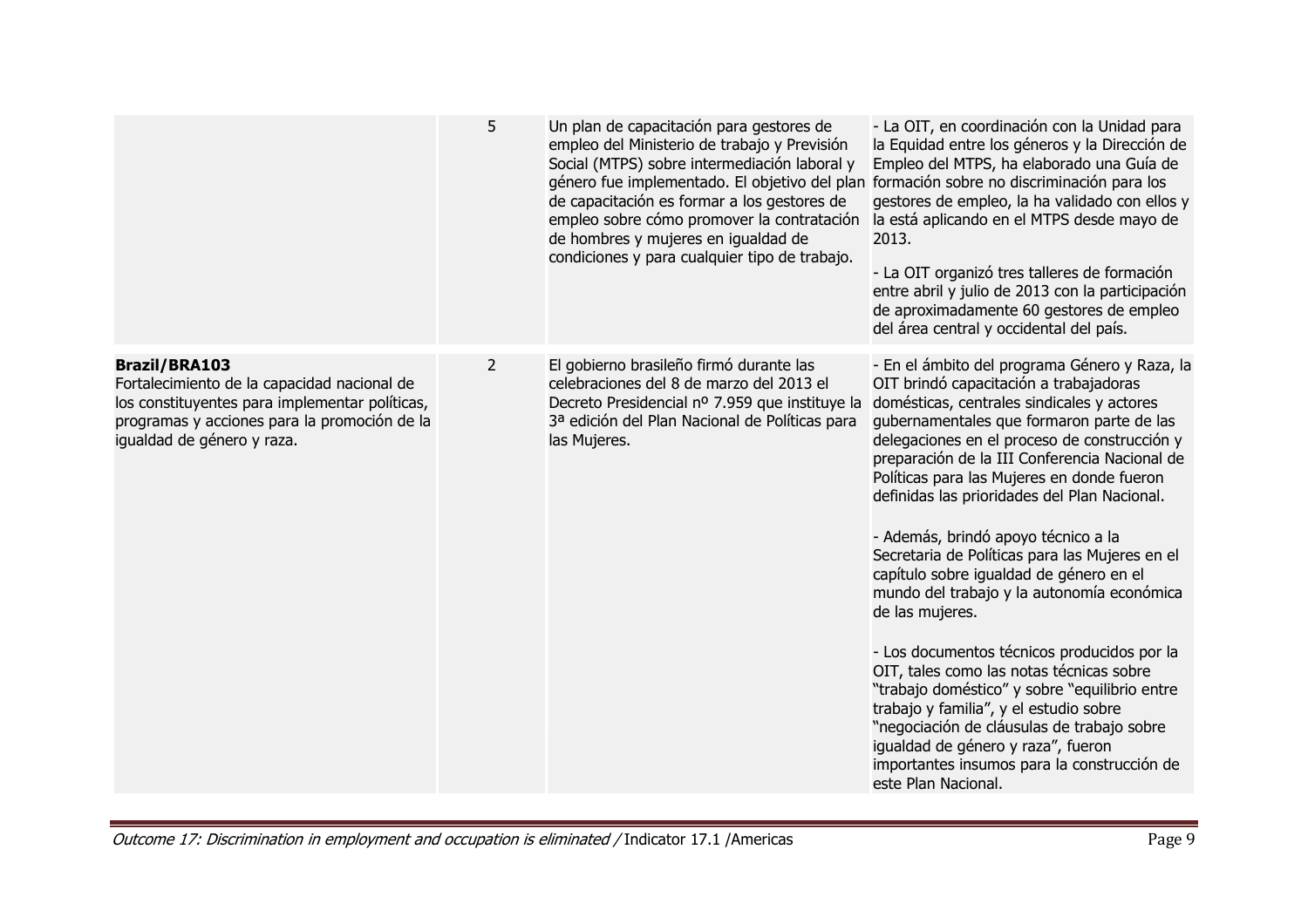|                                                                                                                                                                                                     | 5              | Un plan de capacitación para gestores de<br>empleo del Ministerio de trabajo y Previsión<br>Social (MTPS) sobre intermediación laboral y<br>género fue implementado. El objetivo del plan formación sobre no discriminación para los<br>de capacitación es formar a los gestores de<br>empleo sobre cómo promover la contratación<br>de hombres y mujeres en igualdad de<br>condiciones y para cualquier tipo de trabajo. | - La OIT, en coordinación con la Unidad para<br>la Equidad entre los géneros y la Dirección de<br>Empleo del MTPS, ha elaborado una Guía de<br>gestores de empleo, la ha validado con ellos y<br>la está aplicando en el MTPS desde mayo de<br>2013.<br>- La OIT organizó tres talleres de formación<br>entre abril y julio de 2013 con la participación<br>de aproximadamente 60 gestores de empleo<br>del área central y occidental del país.                                                                                                                                                                                                                                                                                                                                                                                                                                                                                        |
|-----------------------------------------------------------------------------------------------------------------------------------------------------------------------------------------------------|----------------|---------------------------------------------------------------------------------------------------------------------------------------------------------------------------------------------------------------------------------------------------------------------------------------------------------------------------------------------------------------------------------------------------------------------------|----------------------------------------------------------------------------------------------------------------------------------------------------------------------------------------------------------------------------------------------------------------------------------------------------------------------------------------------------------------------------------------------------------------------------------------------------------------------------------------------------------------------------------------------------------------------------------------------------------------------------------------------------------------------------------------------------------------------------------------------------------------------------------------------------------------------------------------------------------------------------------------------------------------------------------------|
| <b>Brazil/BRA103</b><br>Fortalecimiento de la capacidad nacional de<br>los constituyentes para implementar políticas,<br>programas y acciones para la promoción de la<br>igualdad de género y raza. | $\overline{2}$ | El gobierno brasileño firmó durante las<br>celebraciones del 8 de marzo del 2013 el<br>Decreto Presidencial nº 7.959 que instituye la<br>3ª edición del Plan Nacional de Políticas para<br>las Mujeres.                                                                                                                                                                                                                   | - En el ámbito del programa Género y Raza, la<br>OIT brindó capacitación a trabajadoras<br>domésticas, centrales sindicales y actores<br>gubernamentales que formaron parte de las<br>delegaciones en el proceso de construcción y<br>preparación de la III Conferencia Nacional de<br>Políticas para las Mujeres en donde fueron<br>definidas las prioridades del Plan Nacional.<br>- Además, brindó apoyo técnico a la<br>Secretaria de Políticas para las Mujeres en el<br>capítulo sobre igualdad de género en el<br>mundo del trabajo y la autonomía económica<br>de las mujeres.<br>- Los documentos técnicos producidos por la<br>OIT, tales como las notas técnicas sobre<br>"trabajo doméstico" y sobre "equilibrio entre<br>trabajo y familia", y el estudio sobre<br>"negociación de cláusulas de trabajo sobre<br>igualdad de género y raza", fueron<br>importantes insumos para la construcción de<br>este Plan Nacional. |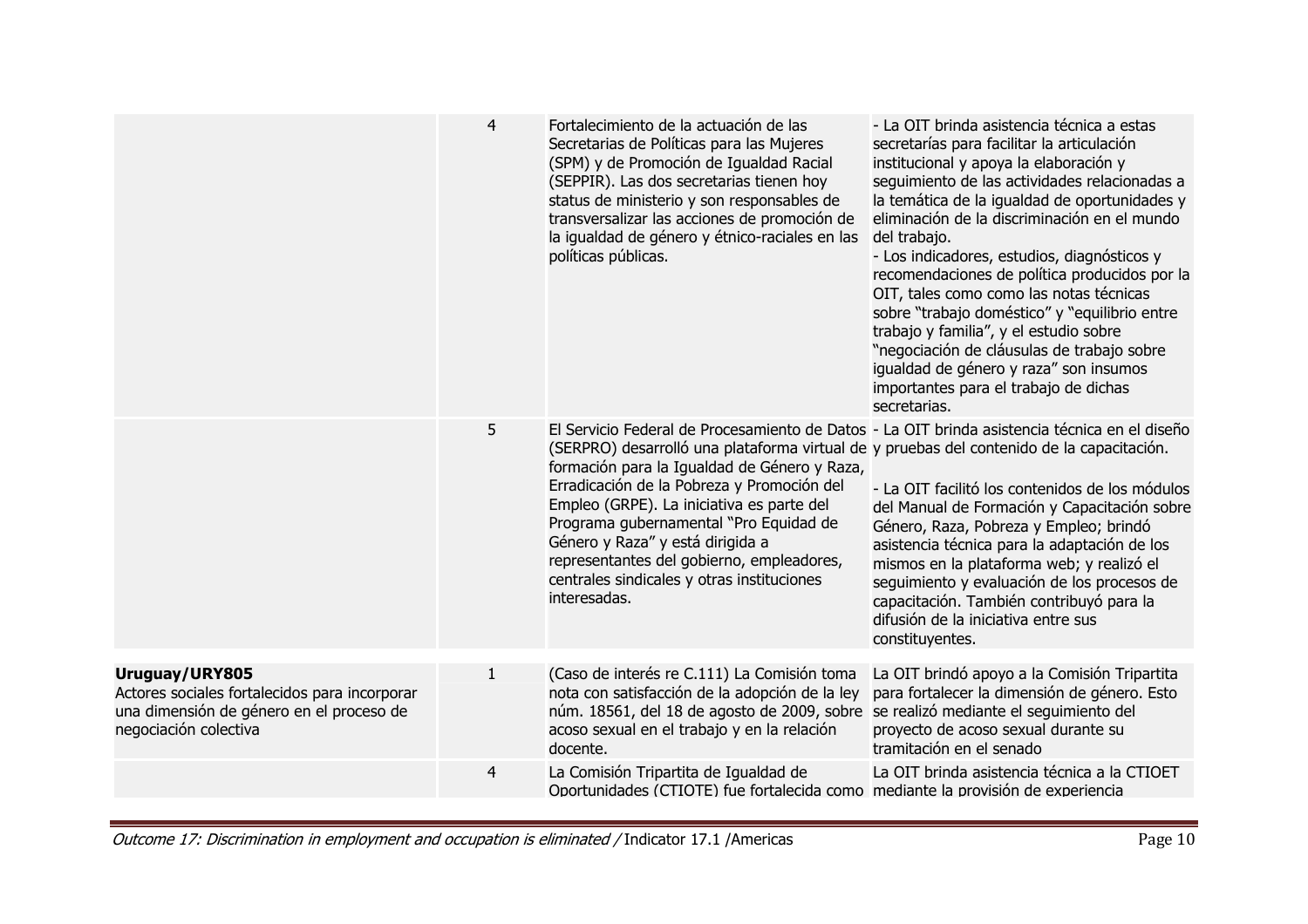|                                                                                                                                      | $\overline{4}$ | Fortalecimiento de la actuación de las<br>Secretarias de Políticas para las Mujeres<br>(SPM) y de Promoción de Igualdad Racial<br>(SEPPIR). Las dos secretarias tienen hoy<br>status de ministerio y son responsables de<br>transversalizar las acciones de promoción de<br>la igualdad de género y étnico-raciales en las<br>políticas públicas.                                                                                                                                                                              | - La OIT brinda asistencia técnica a estas<br>secretarías para facilitar la articulación<br>institucional y apoya la elaboración y<br>seguimiento de las actividades relacionadas a<br>la temática de la igualdad de oportunidades y<br>eliminación de la discriminación en el mundo<br>del trabajo.<br>- Los indicadores, estudios, diagnósticos y<br>recomendaciones de política producidos por la<br>OIT, tales como como las notas técnicas<br>sobre "trabajo doméstico" y "equilibrio entre<br>trabajo y familia", y el estudio sobre<br>"negociación de cláusulas de trabajo sobre<br>igualdad de género y raza" son insumos<br>importantes para el trabajo de dichas<br>secretarias. |
|--------------------------------------------------------------------------------------------------------------------------------------|----------------|--------------------------------------------------------------------------------------------------------------------------------------------------------------------------------------------------------------------------------------------------------------------------------------------------------------------------------------------------------------------------------------------------------------------------------------------------------------------------------------------------------------------------------|---------------------------------------------------------------------------------------------------------------------------------------------------------------------------------------------------------------------------------------------------------------------------------------------------------------------------------------------------------------------------------------------------------------------------------------------------------------------------------------------------------------------------------------------------------------------------------------------------------------------------------------------------------------------------------------------|
|                                                                                                                                      | 5              | El Servicio Federal de Procesamiento de Datos - La OIT brinda asistencia técnica en el diseño<br>(SERPRO) desarrolló una plataforma virtual de y pruebas del contenido de la capacitación.<br>formación para la Igualdad de Género y Raza,<br>Erradicación de la Pobreza y Promoción del<br>Empleo (GRPE). La iniciativa es parte del<br>Programa gubernamental "Pro Equidad de<br>Género y Raza" y está dirigida a<br>representantes del gobierno, empleadores,<br>centrales sindicales y otras instituciones<br>interesadas. | - La OIT facilitó los contenidos de los módulos<br>del Manual de Formación y Capacitación sobre<br>Género, Raza, Pobreza y Empleo; brindó<br>asistencia técnica para la adaptación de los<br>mismos en la plataforma web; y realizó el<br>seguimiento y evaluación de los procesos de<br>capacitación. También contribuyó para la<br>difusión de la iniciativa entre sus<br>constituyentes.                                                                                                                                                                                                                                                                                                 |
| Uruguay/URY805<br>Actores sociales fortalecidos para incorporar<br>una dimensión de género en el proceso de<br>negociación colectiva | $\mathbf{1}$   | (Caso de interés re C.111) La Comisión toma<br>nota con satisfacción de la adopción de la ley<br>núm. 18561, del 18 de agosto de 2009, sobre se realizó mediante el seguimiento del<br>acoso sexual en el trabajo y en la relación<br>docente.                                                                                                                                                                                                                                                                                 | La OIT brindó apoyo a la Comisión Tripartita<br>para fortalecer la dimensión de género. Esto<br>proyecto de acoso sexual durante su<br>tramitación en el senado                                                                                                                                                                                                                                                                                                                                                                                                                                                                                                                             |
|                                                                                                                                      | 4              | La Comisión Tripartita de Igualdad de<br>Oportunidades (CTIOTE) fue fortalecida como mediante la provisión de experiencia                                                                                                                                                                                                                                                                                                                                                                                                      | La OIT brinda asistencia técnica a la CTIOET                                                                                                                                                                                                                                                                                                                                                                                                                                                                                                                                                                                                                                                |

Outcome 17: Discrimination in employment and occupation is eliminated / Indicator 17.1 /Americas